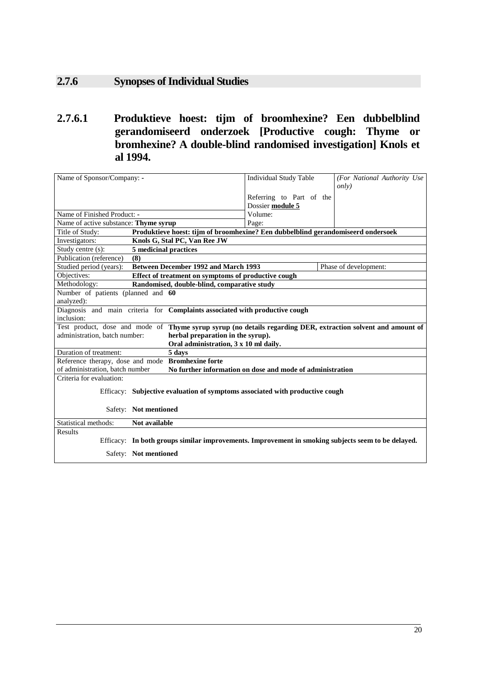## **2.7.6 Synopses of Individual Studies**

**2.7.6.1 Produktieve hoest: tijm of broomhexine? Een dubbelblind gerandomiseerd onderzoek [Productive cough: Thyme or bromhexine? A double-blind randomised investigation] Knols et al 1994.** 

| Name of Sponsor/Company: -                                                                                   | <b>Individual Study Table</b> | (For National Authority Use |  |
|--------------------------------------------------------------------------------------------------------------|-------------------------------|-----------------------------|--|
|                                                                                                              |                               | only)                       |  |
|                                                                                                              | Referring to Part of the      |                             |  |
|                                                                                                              | Dossier module 5              |                             |  |
| Name of Finished Product: -                                                                                  | Volume:                       |                             |  |
| Name of active substance: Thyme syrup                                                                        | Page:                         |                             |  |
| Title of Study:<br>Produktieve hoest: tijm of broomhexine? Een dubbelblind gerandomiseerd ondersoek          |                               |                             |  |
| Investigators:<br>Knols G, Stal PC, Van Ree JW                                                               |                               |                             |  |
| Study centre (s):<br>5 medicinal practices                                                                   |                               |                             |  |
| Publication (reference)<br>(8)                                                                               |                               |                             |  |
| Studied period (years):<br><b>Between December 1992 and March 1993</b>                                       |                               | Phase of development:       |  |
| Objectives:<br>Effect of treatment on symptoms of productive cough                                           |                               |                             |  |
| Methodology:<br>Randomised, double-blind, comparative study                                                  |                               |                             |  |
| Number of patients (planned and 60                                                                           |                               |                             |  |
| analyzed):                                                                                                   |                               |                             |  |
| Diagnosis and main criteria for Complaints associated with productive cough                                  |                               |                             |  |
| inclusion:                                                                                                   |                               |                             |  |
| Test product, dose and mode of Thyme syrup syrup (no details regarding DER, extraction solvent and amount of |                               |                             |  |
| administration, batch number:<br>herbal preparation in the syrup).                                           |                               |                             |  |
| Oral administration, 3 x 10 ml daily.                                                                        |                               |                             |  |
| Duration of treatment:<br>5 days                                                                             |                               |                             |  |
| Reference therapy, dose and mode Bromhexine forte                                                            |                               |                             |  |
| of administration, batch number<br>No further information on dose and mode of administration                 |                               |                             |  |
| Criteria for evaluation:                                                                                     |                               |                             |  |
| Efficacy: Subjective evaluation of symptoms associated with productive cough                                 |                               |                             |  |
|                                                                                                              |                               |                             |  |
| Safety: Not mentioned                                                                                        |                               |                             |  |
|                                                                                                              |                               |                             |  |
| Statistical methods:<br>Not available                                                                        |                               |                             |  |
| Results                                                                                                      |                               |                             |  |
| Efficacy: In both groups similar improvements. Improvement in smoking subjects seem to be delayed.           |                               |                             |  |
| Safety: Not mentioned                                                                                        |                               |                             |  |
|                                                                                                              |                               |                             |  |